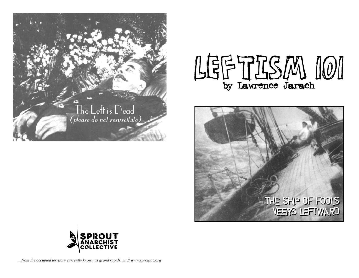







*...from the occupied territory currently known as grand rapids, mi // www.sproutac.org*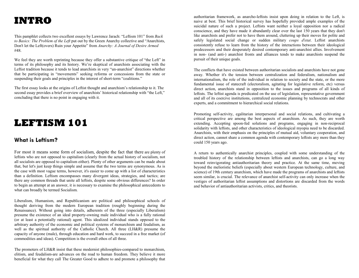# **INTRO**

This pamphlet collects two excellent essays by Lawrence Jarach: "Leftism 101" from *Back to Basics: The Problem of the Left* put out by the Green Anarchy collective and "Anarchists, Don't let the Left(overs) Ruin your Appetite" from *Anarchy: A Journal of Desire Armed*#48.

We feel they are worth reprinting because they offer a substantive critique of "the Left" in terms of its philosophy and its history. We're skeptical of anarchists associating with the Leftist tradition because it tends to lead anarchists in very "un-anarchist" directions whether that be participating in "movements" seeking reforms or concessions from the state or suspending their goals and principles in the interest of short-term "coalitions."

The first essay looks at the origins of Leftist thought and anarchism's relationship to it. The second essay provides a brief overview of anarchists' historical relationship with "the Left," concluding that there is no point in engaging with it.

# **LEFTISM 101**

### **What is Leftism?**

For most it means some form of socialism, despite the fact that there are plenty of leftists who are not opposed to capitalism (clearly from the actual history of socialism, not all socialists are opposed to capitalism either). Plenty of other arguments can be made about that, but let's just keep things simple and assume that the two terms are synonymous. As is the case with most vague terms, however, it's easier to come up with a list of characteristics than a definition. Leftism encompasses many divergent ideas, strategies, and tactics; are there any common threads that unite all leftists, despite some obvious differences? In order to begin an attempt at an answer, it is necessary to examine the philosophical antecedents to what can broadly be termed Socialism.

Liberalism, Humanism, and Republicanism are political and philosophical schools of thought deriving from the modern European tradition (roughly beginning during the Renaissance). Without going into details, adherents of the three (especially Liberalism) presume the existence of an ideal property-owning male individual who is a fully rational (or at least a potentially rational) agent. This idealized individual stands opposed to the arbitrary authority of the economic and political systems of monarchism and feudalism, as well as the spiritual authority of the Catholic Church. All three (LH&R) presume the capacity of anyone (male), through education and hard work, to succeed in a free market (of commodities and ideas). Competition is the overall ethos of all three.

The promoters of LH&R insist that these modernist philosophies-compared to monarchism, elitism, and feudalism-are advances on the road to human freedom. They believe it more beneficial for what they call The Greater Good to adhere to and promote a philosophy that authoritarian framework, as anarcho-leftists insist upon doing in relation to the Left, is naive at best. This brief historical survey has hopefully provided ample examples of the suicidal nature of such a project. Leftists want neither a loyal opposition nor a radical conscience, and they have made it abundantly clear over the last 150 years that they don't like anarchists and prefer not to have them around, cluttering up their moves for polite and safely legislated social change or sudden military *coups d'etat*. Leftist anarchists consistently refuse to learn from the history of the interactions between their ideological predecessors and their desperately desired contemporary anti-anarchist allies. Involvement in non- (and anti-) anarchist fronts and alliances tends to make anarchists suspend the pursuit of their unique goals.

The conflicts that have existed between authoritarian socialists and anarchists have not gone away. Whether it's the tension between centralization and federalism, nationalism and internationalism, the role of the individual in relation to society and the state, or the more fundamental issue of statecraft (electoralism, agitating for legislative reform, etc) versus direct action, anarchists stand in opposition to the issues and programs of all kinds of leftists. The leftist agenda is predicated on the use of legislation, representative government and all of its coercive institutions, centralized economic planning by technocrats and other experts, and a commitment to hierarchical social relations.

Promoting self-activity, egalitarian interpersonal and social relations, and cultivating a critical perspective are among the best aspects of anarchism. As such, they are worth extending. Accepting spoon-fed solutions and programs, engaging in non-reciprocal solidarity with leftists, and other characteristics of ideological myopia need to be discarded. Anarchists, with their emphasis on the principles of mutual aid, voluntary cooperation, and direct action, cannot share a common agenda with contemporary leftists any more than they could 150 years ago.

A return to authentically anarchist principles, coupled with some understanding of the troubled history of the relationship between leftists and anarchists, can go a long way toward reinvigorating antiauthoritarian theory and practice. At the same time, moving beyond the melioristic beliefs (especially about western European technology, culture, and science) of 19th century anarchism, which have made the programs of anarchists and leftists seem similar, is crucial. The relevance of anarchist self-activity can only increase when the vestiges of authoritarian leftist assumptions and distortions are discarded from the words and behavior of antiauthoritarian activists, critics, and theorists.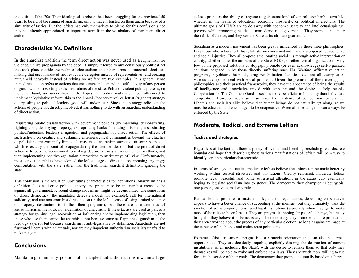the leftists of the '70s. Their ideological forebears had been struggling for the previous 150 years to be rid of the stigma of anarchism, only to have it foisted on them again because of a similarity of tactics. But the leftists had only themselves to blame for this confusion since they had already appropriated an important term from the vocabulary of anarchism: direct action.

## **Characteristics Vs. Definitions**

In the anarchist tradition the term direct action was never used as a euphemism for violence, unlike propaganda by the deed. It simply referred to any consciously political act that took place outside the realm of electoralism and other forms of statecraft: decisionmaking that uses mandated and revocable delegates instead of representatives, and creating mutual-aid networks instead of relying on welfare are two examples. In a general sense then, direct action refers to actions that encourage and expand the self-activity of any person or group without resorting to the institutions of the state. Polite or violent public protests, on the other hand, are undertaken in the hopes that policy makers can be influenced to implement legislative reform; this is the liberal (/conservative) or leftist (/rightist) strategy of appealing to political leaders' good will and/or fear. Since this strategy relies on the actions of people not directly involved, it has nothing to do with an anarchist understanding of direct action.

Registering public dissatisfaction with government policies (by marching, demonstrating, fighting cops, destroying property, expropriating banks, liberating prisoners, assassinating political/industrial leaders) is agitation and propaganda, not direct action. The effects of such activity on creating and sustaining anti-hierarchical communities beyond the clutches of politicians are extremely limited. It may make anarchism attractive to some people which is exactly the point of propaganda (by the deed or idea) — but the point of direct action is to become accustomed to making decisions using anti-hierarchical methods, and then implementing positive egalitarian alternatives to statist ways of living. Unfortunately, most activist anarchists have adopted the leftist usage of direct action, meaning any angry confrontation with the state, rather than the traditional anarchist definition: ignoring the state.

This confusion is the result of substituting characteristics for definitions. Anarchism has a definition. It is a discrete political theory and practice; to be an anarchist means to be against all government. A social change movement might be decentralized, use some form of direct democracy (the mandated delegate model, for example), call for international solidarity, and use non-anarchist direct action (in the leftist sense of using limited violence or property destruction to further their programs), but these are characteristics of antiauthoritarian methods, not a definition of anarchism. If these tactics are used as part of a strategy for gaining legal recognition or influencing and/or implementing legislation, then those who use them cannot be anarchists; not because some self-appointed guardian of the ideology says so, but because anarchism is anti-legislative by definition. Anarchists are not frustrated liberals with an attitude, nor are they impatient authoritarian socialists unafraid to pick up a gun.

# **Conclusions**

Maintaining a minority position of principled antiauthoritarianism within a larger

at least proposes the ability of anyone to gain some kind of control over her/his own life, whether in the realm of education, economic prosperity, or political interactions. The ultimate goals of LH&R are to do away with economic scarcity and intellectual/spiritual poverty, while promoting the idea of more democratic governance. They promote this under the rubric of Justice, and they see the State as its ultimate guarantor.

Socialism as a modern movement has been greatly influenced by these three philosophies. Like those who adhere to LH&R, leftists are concerned with, and are opposed to, economic and social injustice. They all propose ameliorating social ills through active intervention or charity, whether under the auspices of the State, NGOs, or other formal organizations. Very few of the proposed solutions or stopgaps promote (or even acknowledge) self-organized solutions engaged in by those directly suffering such ills. Welfare, affirmative action programs, psychiatric hospitals, drug rehabilitation facilities, etc. are all examples of various attempts to deal with social problems. Given the premises of these overlapping philosophies and their practical frameworks, they have the appearance of being the results of intelligence and knowledge mixed with empathy and the desire to help people. Cooperation for The Common Good is seen as more beneficial to humanity than individual competition. However, socialism also takes the existence of competition for granted. Liberals and socialists alike believe that human beings do not naturally get along, so we must be educated and encouraged to be cooperative. When all else fails, this can always be enforced by the State.

### **Moderate, Radical, and Extreme Leftism**

### **Tactics and strategies**

Regardless of the fact that there is plenty of overlap and blending-precluding real, discrete boundaries-I hope that describing these various manifestations of leftism will be a way to identify certain particular characteristics.

In terms of strategy and tactics, moderate leftists believe that things can be made better by working within current structures and institutions. Clearly reformist, moderate leftists promote legal, peaceful, and polite superficial alterations in the status quo, eventually hoping to legislate socialism into existence. The democracy they champion is bourgeois: one person, one vote, majority rule.

Radical leftists promotes a mixture of legal and illegal tactics, depending on whatever appears to have a better chance of succeeding at the moment, but they ultimately want the sanction of some properly constituted legal institutions (especially when they get to make most of the rules to be enforced). They are pragmatic, hoping for peaceful change, but ready to fight if they believe it to be necessary. The democracy they promote is more proletarian: they aren't worried about the process of any particular election, so long as gains are made at the expense of the bosses and mainstream politicians.

Extreme leftists are amoral pragmatists, a strategic orientation that can also be termed opportunistic. They are decidedly impolite, explicitly desiring the destruction of current institutions (often including the State), with the desire to remake them so that only they themselves will be able to make and enforce new laws. They are much more willing to use force in the service of their goals. The democracy they promote is usually based on a Party.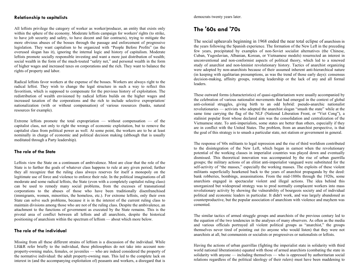### **Relationship to capitalists**

All leftists privilege the category of worker as worker/producer, an entity that exists only within the sphere of the economy. Moderate leftists campaign for workers' rights (to strike, to have job security and safety, to have decent and fair contracts), trying to mitigate the more obvious abuses of the bosses through the passage and enforcement of progressive legislation. They want capitalism to be organized with "People Before Profits" (as the overused slogan has it), ignoring the internal logic and history of capitalism. Moderate leftists promote socially responsible investing and want a more just distribution of wealth; social wealth in the form of the much-touted "safety net," and personal wealth in the form of higher wages and increased taxes on corporations and the rich. They want to balance the rights of property and labor.

Radical leftists favor workers at the expense of the bosses. Workers are always right to the radical leftist. They wish to change the legal structure in such a way to reflect this favoritism, which is supposed to compensate for the previous history of exploitation. The redistribution of wealth envisioned by radical leftists builds on the higher wages and increased taxation of the corporations and the rich to include selective expropriation/ nationalization (with or without compensation) of various resources (banks, natural resources for example).

Extreme leftists promote the total expropriation — without compensation — of the capitalist class, not only to right the wrongs of economic exploitation, but to remove the capitalist class from political power as well. At some point, the workers are to be at least nominally in charge of economic and political decision making (although that is usually meditated through a Party leadership).

### **The role of the State**

Leftists view the State on a continuum of ambivalence. Most are clear that the role of the State is to further the goals of whatever class happens to rule at any given period; further they all recognize that the ruling class always reserves for itself a monopoly on the legitimate use of force and violence to enforce their rule. In the political imaginations of all moderate and some radical leftists, the State (even with a completely capitalist ruling class) can be used to remedy many social problems, from the excesses of transnational corporations to the abuses of those who have been traditionally disenfranchised (immigrants, women, minorities, the homeless, etc.). For extreme leftists, only their own State can solve such problems, because it is in the interest of the current ruling class to maintain divisions among those who are not of the ruling class. Despite the ambivalence, an attachment to the functions of government as executed by the State remains. This is the pivotal area of conflict between all leftists and all anarchists, despite the historical positioning of anarchism within the spectrum of leftism — about which more below.

### **The role of the individual**

Missing from all these different strains of leftism is a discussion of the individual. While LH&R refer briefly to the individual, these philosophies do not take into account nonproperty-owning males, females, or juveniles — who are indeed considered the property of the normative individual: the adult property-owning man. This led to the complete lack on interest in (and the accompanying exploitation of) peasants and workers, a disregard that is

democrats twenty years later.

# **The '60s and '70s**

The social upheavals beginning in 1968 ended the near total eclipse of anarchism in the years following the Spanish experience. The formation of the New Left in the preceding few years, precipitated by examples of non-Soviet socialist alternatives (the Chinese, Cuban, Yugoslavian, Albanian, Korean, or Vietnamese models) resurrected an interest in unconventional and non-conformist aspects of political theory, which led to a renewed study of anarchist and non-leninist revolutionary history. Tactics of anarchist organizing were adopted by non-anarchists because of their assumed inherent anti-hierarchical nature (in keeping with egalitarian presumptions, as was the trend of those early days): consensus decision-making, affinity groups, rotating leadership or the lack of any and all formal leaders.

These outward forms (characteristics) of quasi-egalitarianism were usually accompanied by the celebration of various nationalist movements that had emerged in the context of global anti-colonial struggles, giving birth to an odd hybrid: pseudo-anarchic nationalist revolutionaries — activists who adopted the anarchist slogan "smash the state" while at the same time carrying the flag of the NLF (National Liberation Front, or "Viet Cong"), a stalinist popular front whose declared aim was the consolidation and centralization of the Vietnamese state. To anti-imperialists, some states are better than others, especially if they are in conflict with the United States. The problem, from an anarchist perspective, is that the goal of this strategy is to smash a particular state, not statism or government in general.

The response of '60s militants to legal repression and the rise of third worldism contributed to the disintegration of the New Left, which began in earnest when the revolutionary potential of the working classes in imperialist countries was played down and eventually dismissed. This theoretical innovation was accompanied by the rise of urban guerrilla groups; the military actions of an elitist anti-imperialist vanguard were substituted for the self-activity of "the masses," especially the working masses. The exploits of these violent militants superficially hearkened back to the years of anarchist propaganda by the deed: bank robberies, bombings, assassinations. From the mid-1880s through the 1920s, some anarchists engaged in spectacular violent and illegal actions. The idea behind this unorganized but widespread strategy was to prod normally complacent workers into mass revolutionary activity by showing the vulnerability of bourgeois society and of individual political and economic leaders in particular. It didn't work, and was largely abandoned as counterproductive, but the popular association of anarchism with violence and mayhem was cemented.

The similar tactics of armed struggle groups and anarchists of the previous century led to the equation of the two tendencies in the analyses of many observers. As often as the media and various officials portrayed all violent political groups as "anarchist," the groups themselves never tired of pointing out (to anyone who would listen) that they were not anarchists at all, but communists or socialists or progressives or nationalists or leftists.

Having the actions of urban guerrillas (fighting the imperialist state in solidarity with third world national liberationists) equated with those of armed anarchists (combating the state in solidarity with anyone — including themselves — who is oppressed by authoritarian social relations regardless of the political ideology of their rulers) must have been maddening to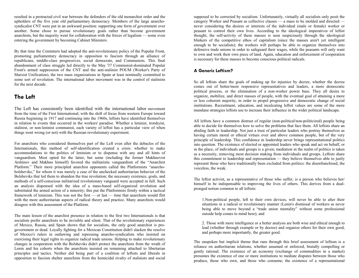resulted in a protracted civil war between the defenders of the old monarchist order and the upholders of the five year old parliamentary democracy. Members of the large anarchosyndicalist CNT were put in an awkward position: supporting one form of government over another. Some chose to pursue revolutionary goals rather than become government anarchists, but the majority went for collaboration with the forces of legalism — some even entering the government by becoming Cabinet Ministers.

By that time the Comintern had adopted the anti-revolutionary policy of the Popular Front, promoting parliamentary democracy in opposition to fascism through an alliance of republicans, middle-class progressives, social democrats, and Communists. This final abandonment of class struggle led directly to the May '37 Communist-dominated Popular Front's armed suppression of the CNT and the anti-stalinist POUM (Worker's Party of Marxist Unification), the two mass organizations in Spain at least nominally committed to some sort of revolution. The international labor movement was in the control of stalinists for the next decade.

### **The Left**

The Left has consistently been identified with the international labor movement from the time of the First International; with the shift of focus from western Europe toward Russia beginning in 1917 and continuing into the 1960s, leftists have identified themselves in relation to events that occurred in the workers' paradise. Whether a leninist, trotskyist, stalinist, or non-leninist communist, each variety of leftist has a particular view of when things went wrong (or not) with the Russian revolutionary experiment.

For anarchists who considered themselves part of the Left even after the debacles of the Internationals, this method of self-identification created a crisis: whether to make accommodations to the politics of leninism or to dispense with any and all hints of vanguardism. Most opted for the latter, but some (including the former Makhnovist Arshinov and Makhno himself) favored the militaristic vanguardism of the "Anarchist Platform." Their more principled anarchist opponents called the Platformists "anarchobolsheviks," for whom it was merely a case of the unchecked authoritarian behavior of the Bolsheviks that led them to abandon the true revolution; the necessary existence, goals, and methods of a self-conscious militarized revolutionary vanguard were accepted in full. Such an analysis dispensed with the idea of a mass-based self-organized revolution and substituted the armed action of a minority; this put the Platformists firmly within a tactical framework of leninism. This was not the first — or last — time that anarchists would flirt with the more authoritarian aspects of radical theory and practice. Many anarchists would disagree with this assessment of the Platform.

The main lesson of the anarchist presence in relation to the first two Internationals is that socialists prefer anarchists to be invisible and silent. That of the revolutionary experiences of Mexico, Russia, and Spain shows that for socialists, the only good anarchist is progovernment or dead. Loyally fighting for a Mexican Constitution didn't slacken the resolve of Mexico's rulers in outlawing and repressing anarcho-syndicalists who insisted on exercising their legal rights to organize radical trade unions. Helping to make revolutionary changes in cooperation with the Bolsheviks didn't protect the anarchists from the wrath of Lenin and his cohorts when the anarchists insisted on remaining attached to libertarian principles and tactics. Neither did being part of a coalition of leftists and liberals in opposition to fascism shelter anarchists from the homicidal rivalry of stalinists and social

supposed to be corrected by socialism. Unfortunately, virtually all socialists only posit the category Worker and Peasant as collective classes — a mass to be molded and directed never considering the desires or interests of the individual (male or female) worker or peasant to control their own lives. According to the ideological imperatives of leftist thought, the self-activity of these masses is seen suspiciously through the ideological blinkers of the competitive ethos of capitalism (since the masses aren't yet intelligent enough to be socialists); the workers will perhaps be able to organize themselves into defensive trade unions in order to safeguard their wages, while the peasants will only want to own and work their own piece of land. Again, education and enforcement of cooperation is necessary for these masses to become conscious political radicals.

### **A Generic Leftism?**

So all leftists share the goals of making up for injustice by decree, whether the decree comes out of better/more responsive representatives and leaders, a more democratic political process, or the elimination of a non-worker power base. They all desire to organize, mobilize, and direct masses of people, with the eventual goal of attaining a more or less coherent majority, in order to propel progressive and democratic change of social institutions. Recruitment, education, and inculcating leftist values are some of the more mundane strategies leftists use to increase their influence in the wider political landscape.

All leftists have a common distrust of regular (non-political/non-politicized) people being able to decide for themselves how to solve the problems that face them. All leftists share an abiding faith in leadership. Not just a trust of particular leaders who portray themselves as having certain moral or ethical virtues over and above common people, but of the very principle of leadership. This confidence in leadership never brings representational politics into question. The existence of elected or appointed leaders who speak and act on behalf, or in the place, of individuals and groups is a given; mediation in the realm of politics is taken as a necessity, removing most decision making from individuals and groups. Leftists share this commitment to leadership and representation — they believe themselves able to justly represent those who have traditionally been excluded from politics: the disenfranchised, the voiceless, the weak.

The leftist activist, as a representative of those who suffer, is a person who believes her/ himself to be indispensable to improving the lives of others. This derives from a dualpronged notion common to all leftists:

1.Non-political people, left to their own devices, will never be able to alter their situations in a radical or revolutionary manner (Lenin's dismissal of workers as never being able to move beyond a "trade union mentality" without some professional outside help comes to mind here); and

2. Those with more intelligence or a better analysis are both wise and ethical enough to lead (whether through example or by decree) and organize others for their own good, and perhaps more importantly, the greater good.

The unspoken but implicit theme that runs through this brief assessment of leftism is a reliance on authoritarian relations, whether assumed or enforced, brutally compelling or gently rational. The existence of an economy (exchange of commodities in a market) presumes the existence of one or more institutions to mediate disputes between those who produce, those who own, and those who consume; the existence of a representational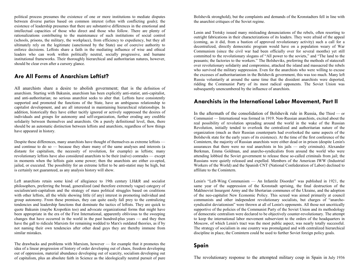political process presumes the existence of one or more institutions to mediate disputes between diverse parties based on common interest (often with conflicting goals); the existence of leadership presumes that there are substantive differences in the emotional and intellectual capacities of those who direct and those who follow. There are plenty of rationalizations contributing to the maintenance of such institutions of social control (schools, prisons, the military, the workplace), from efficiency to expediency, but they all ultimately rely on the legitimate (sanctioned by the State) use of coercive authority to enforce decisions. Leftists share a faith in the mediating influence of wise and ethical leaders who can work within politically neutral, socially progressive, and humane institutional frameworks. Their thoroughly hierarchical and authoritarian natures, however, should be clear even after a cursory glance.

## **Are All Forms of Anarchism Leftist?**

All anarchists share a desire to abolish government; that is the definition of anarchism. Starting with Bakunin, anarchism has been explicitly anti-statist, anti-capitalist, and anti-authoritarian; no serious anarchist seeks to alter that. Leftists have consistently supported and promoted the functions of the State, have an ambiguous relationship to capitalist development, and are all interested in maintaining hierarchical relationships. In addition, historically they have either tacitly ignored or actively suppressed the desires of individuals and groups for autonomy and self-organization, further eroding any credible solidarity between themselves and anarchists. On a purely definitional level, then, there should be an automatic distinction between leftists and anarchists, regardless of how things have appeared in history.

Despite these differences, many anarchists have thought of themselves as extreme leftists and continue to do so — because they share many of the same analyses and interests (a distaste for capitalism, the necessity of revolution, for example) as leftists; many revolutionary leftists have also considered anarchists to be their (naïve) comrades — except in moments when the leftists gain some power; then the anarchists are either co-opted, jailed, or executed. The possibility for an extreme leftist to be anti-statist may be high, but is certainly not guaranteed, as any analysis history will show.

Left anarchists retain some kind of allegiance to 19th century LH&R and socialist philosophers, preferring the broad, generalized (and therefore extremely vague) category of socialism/anti-capitalism and the strategy of mass political struggles based on coalitions with other leftists, all the while showing little (if any) interest in promoting individual and group autonomy. From these premises, they can quite easily fall prey to the centralizing tendencies and leadership functions that dominate the tactics of leftists. They are quick to quote Bakunin (maybe Kropotkin too) and advocate organizational forms that might have been appropriate in the era of the First International, apparently oblivious to the sweeping changes that have occurred in the world in the past hundred-plus years — and they then have the gall to ridicule Marxists for remaining wedded to Marx's outdated theories, as if by not naming their own tendencies after other dead guys they are thereby immune from similar mistakes.

The drawbacks and problems with Marxism, however — for example that it promotes the idea of a linear progression of history of order developing out of chaos, freedom developing out of oppression, material abundance developing out of scarcity, socialism developing out of capitalism, plus an absolute faith in Science as the ideologically neutral pursuit of pure Bolshevik stronghold), but the complaints and demands of the Kronstadters fell in line with the anarchist critiques of the Soviet regime.

Lenin and Trotsky issued many misleading denunciations of the rebels, often resorting to outright fabrications in their characterizations of its leaders. They were afraid of the appeal (coming, as it did, from a bastion of approved revolutionary activity) such a call for a decentralized, directly democratic program would have on a population weary of War Communism (since the civil war had been officially over for several months) yet still committed to the revolutionary slogans of "All power to the soviets," and "The land to the peasants; the factories to the workers." The Bolsheviks, preferring the methods of statecraft over revolutionary solidarity and compromise, attacked the island and massacred the rebels who survived the military suppression. Even for the anarchists who were willing to excuse the excesses of authoritarianism in the Bolshevik government, this was too much. Many left Russia voluntarily at around the same time that the dissident anarchists were deported, ridding the Communist Party of its most radical opponents. The Soviet Union was subsequently unencumbered by the influence of anarchists.

### **Anarchists in the International Labor Movement, Part II**

In the aftermath of the consolidation of Bolshevik rule in Russia, the Third — or Communist — International was formed in 1919. Non-Russian anarchists, excited about the real possibility of revolution spreading around the world in the wake of the Russian Revolution, initially tended to overlook the centralized and authoritarian nature of the organization (much as their Russian counterparts had overlooked the same aspects of the Bolshevik state for the early years of its existence). At the time of the first conference of the Comintern, the majority of Russian anarchists were either dead or in prison (despite Lenin's assurances that there were no real anarchists in his jails — only criminals). Alexander Berkman, Emma Goldman, and anarcho-syndicalists from around the world who were attending lobbied the Soviet government to release these so-called criminals from jail; the Russians were quietly released and expelled. Members of the American IWW (Industrial Workers of the World) and the Spanish CNT (National Confederation of Labor) declined to affiliate to the Comintern.

Lenin's "Left-Wing Communism — An Infantile Disorder" was published in 1921, the same year of the suppression of the Kronstadt uprising, the final destruction of the Makhnovist Insurgent Army and the libertarian communes of the Ukraine, and the adoption of the neo-capitalist New Economic Policy. This screed was aimed primarily at council communists and other independent revolutionary socialists, but charges of "anarchosyndicalist deviationism" were thrown at all of Lenin's opponents. All those not uncritically supportive of the policies of the Communist Party of the Soviet Union and its methodology of democratic centralism were declared to be objectively counter-revolutionary. The attempt to keep the international labor movement subservient to the orders of the headquarters in Moscow, of which Lenin's tract was the most public aspect, was nearly totally successful. The strategy of socialism in one country was promulgated and with centralized hierarchical discipline in place, the Comintern could be used to further Soviet foreign policy goals.

### **Spain**

The revolutionary response to the attempted military coup in Spain in July 1936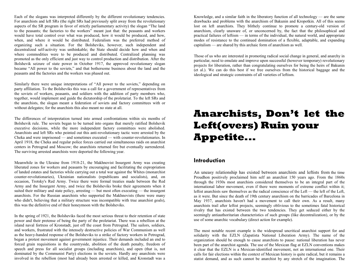Each of the slogans was interpreted differently by the different revolutionary tendencies. For anarchists and left SRs (the right SRs had previously split away from the revolutionary aspects of the SR program in favor of strictly parliamentary activity) the slogan "The land to the peasants; the factories to the workers" meant just that: the peasants and workers would have total control over what was produced, how it would be produced, and how, when, and where it would be distributed. Federalism was the preferred method of organizing such a situation. For the Bolsheviks, however, such independent and decentralized self-activity was unthinkable; the State should decide how and when and where commodities were to be produced and distributed. Centralized planning was promoted as the only efficient and just way to control production and distribution. After the Bolshevik seizure of state power in October 1917, the approved revolutionary slogan became "All power to the soviets," and that bothersome business about the land and the peasants and the factories and the workers was phased out.

Similarly there were unique interpretations of "All power to the soviets," depending on party affiliation. To the Bolsheviks this was a call for a government of representatives from the soviets of workers, peasants, and soldiers with the addition of party members who, together, would implement and guide the dictatorship of the proletariat. To the left SRs and the anarchists, the slogan meant a federation of soviets and factory committees with or without delegates; for the anarchists this also meant no state at all.

The differences of interpretation turned into armed confrontations within six months of Bolshevik rule. The soviets began to be turned into organs that merely ratified Bolshevik executive decisions, while the more independent factory committees were abolished. Anarchists and left SRs who pointed out this anti-revolutionary tactic were arrested by the Cheka and were imprisoned — and sometimes executed — with counter-revolutionaries. In April 1918, the Cheka and regular police forces carried out simultaneous raids on anarchist centers in Petrograd and Moscow; the anarchists returned fire but eventually surrendered. The surviving arrested anarchists were deported the following year.

Meanwhile in the Ukraine from 1918-21, the Makhnovist Insurgent Army was creating liberated zones for workers and peasants by encouraging and facilitating the expropriation of landed estates and factories while carrying out a total war against the Whites (monarchist counter-revolutionaries), Ukrainian nationalists (republicans and socialists), and, on occasion, Trotsky's Red Army. Twice there were formal treaties made between the Red Army and the Insurgent Army, and twice the Bolsheviks broke their agreements when it suited their military and state policy, arresting — but most often executing — the insurgent anarchists. For the Russian anarchists who supported the Makhnovists (there were many who didn't, believing that a military structure was incompatible with true anarchist goals), this was the definitive end of their honeymoon with the Bolsheviks.

In the spring of 1921, the Bolsheviks faced the most serious threat to their retention of state power and their pretense of being the party of the proletariat. There was a rebellion at the island naval fortress of Kronstadt, just off the coast from Petrograd. The sailors, soldiers, and workers, frustrated with the intensely destructive policies of War Communism as well as the heavy-handed response of the Bolsheviks to a strike of factory workers in Petrograd, began a protest movement against government injustice. Their demands included an end to forced grain requisitions in the countryside, abolition of the death penalty, freedom of speech and press for all socialist groups (including anarchists), and open (that is, not dominated by the Communist Party) elections in the soviets. Hardly any anarchists were involved in the rebellion (most had already been arrested or killed, and Kronstadt was a Knowledge, and a similar faith in the liberatory function of all technology — are the same drawbacks and problems with the anarchism of Bakunin and Kropotkin. All of this seems lost on left anarchists. They blithely continue to promote a century-old version of anarchism, clearly unaware of, or unconcerned by, the fact that the philosophical and practical failures of leftism — in terms of the individual, the natural world, and appropriate modes of resistance to the continued domination of a flexible, adaptable, and expanding capitalism — are shared by this archaic form of anarchism as well.

Those of us who are interested in promoting radical social change in general, and anarchy in particular, need to emulate and improve upon successful (however temporary) revolutionary projects for liberation, rather than congratulating ourselves for being the heirs of Bakunin (et al.). We can do this best if we free ourselves from the historical baggage and the ideological and strategic constraints of all varieties of leftism.

# **Anarchists, Don't let the Left(overs) Ruin your Appetite...**

### **Introduction**

An uneasy relationship has existed between anarchists and leftists from the time Proudhon positively proclaimed him self an anarchist 150 years ago. From the 1860s through the 1930s most anarchists considered themselves to be an integral part of the international labor movement, even if there were moments of extreme conflict within it; leftist anarchists saw themselves as the radical conscience of the Left — the left of the Left, as it were. But since the death of 19th century anarchism on the barricades of Barcelona in May 1937, anarchists haven't had a movement to call their own. As a result, many anarchists trail after leftist projects, seemingly oblivious to the sometimes fatal historical rivalry that has existed between the two tendencies. They get seduced either by the seemingly antiauthoritarian characteristics of such groups (like decentralization), or by the use of some anarchic vocabulary (direct action for example).

The most notable recent example is the widespread uncritical anarchist support for and solidarity with the EZLN (Zapatista National Liberation Army). The name of the organization should be enough to cause anarchists to pause: national liberation has never been part of the anarchist agenda. The use of the Mexican flag at EZLN conventions makes it clear that the EZLN is a Mexican-identified movement, not an international one. Their calls for fair elections within the context of Mexican history is quite radical, but it remains a statist demand, and as such cannot be anarchist by any stretch of the imagination. The